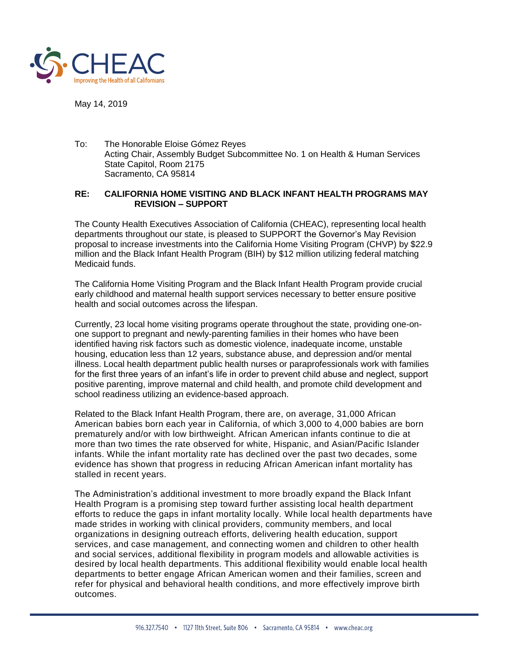

May 14, 2019

To: The Honorable Eloise Gómez Reyes Acting Chair, Assembly Budget Subcommittee No. 1 on Health & Human Services State Capitol, Room 2175 Sacramento, CA 95814

## **RE: CALIFORNIA HOME VISITING AND BLACK INFANT HEALTH PROGRAMS MAY REVISION – SUPPORT**

The County Health Executives Association of California (CHEAC), representing local health departments throughout our state, is pleased to SUPPORT the Governor's May Revision proposal to increase investments into the California Home Visiting Program (CHVP) by \$22.9 million and the Black Infant Health Program (BIH) by \$12 million utilizing federal matching Medicaid funds.

The California Home Visiting Program and the Black Infant Health Program provide crucial early childhood and maternal health support services necessary to better ensure positive health and social outcomes across the lifespan.

Currently, 23 local home visiting programs operate throughout the state, providing one-onone support to pregnant and newly-parenting families in their homes who have been identified having risk factors such as domestic violence, inadequate income, unstable housing, education less than 12 years, substance abuse, and depression and/or mental illness. Local health department public health nurses or paraprofessionals work with families for the first three years of an infant's life in order to prevent child abuse and neglect, support positive parenting, improve maternal and child health, and promote child development and school readiness utilizing an evidence-based approach.

Related to the Black Infant Health Program, there are, on average, 31,000 African American babies born each year in California, of which 3,000 to 4,000 babies are born prematurely and/or with low birthweight. African American infants continue to die at more than two times the rate observed for white, Hispanic, and Asian/Pacific Islander infants. While the infant mortality rate has declined over the past two decades, some evidence has shown that progress in reducing African American infant mortality has stalled in recent years.

The Administration's additional investment to more broadly expand the Black Infant Health Program is a promising step toward further assisting local health department efforts to reduce the gaps in infant mortality locally. While local health departments have made strides in working with clinical providers, community members, and local organizations in designing outreach efforts, delivering health education, support services, and case management, and connecting women and children to other health and social services, additional flexibility in program models and allowable activities is desired by local health departments. This additional flexibility would enable local health departments to better engage African American women and their families, screen and refer for physical and behavioral health conditions, and more effectively improve birth outcomes.